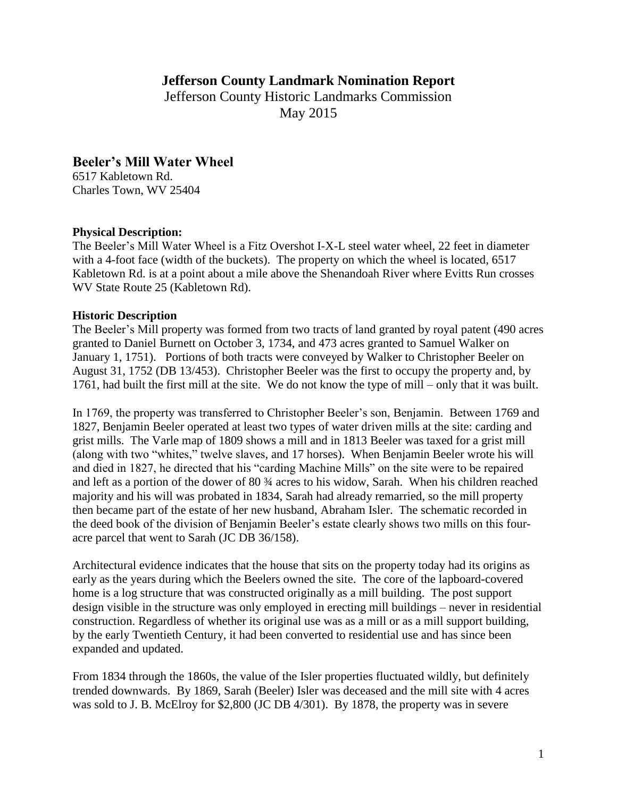# **Jefferson County Landmark Nomination Report**

Jefferson County Historic Landmarks Commission May 2015

# **Beeler's Mill Water Wheel**

6517 Kabletown Rd. Charles Town, WV 25404

### **Physical Description:**

The Beeler's Mill Water Wheel is a Fitz Overshot I-X-L steel water wheel, 22 feet in diameter with a 4-foot face (width of the buckets). The property on which the wheel is located, 6517 Kabletown Rd. is at a point about a mile above the Shenandoah River where Evitts Run crosses WV State Route 25 (Kabletown Rd).

### **Historic Description**

The Beeler's Mill property was formed from two tracts of land granted by royal patent (490 acres granted to Daniel Burnett on October 3, 1734, and 473 acres granted to Samuel Walker on January 1, 1751). Portions of both tracts were conveyed by Walker to Christopher Beeler on August 31, 1752 (DB 13/453). Christopher Beeler was the first to occupy the property and, by 1761, had built the first mill at the site. We do not know the type of mill – only that it was built.

In 1769, the property was transferred to Christopher Beeler's son, Benjamin. Between 1769 and 1827, Benjamin Beeler operated at least two types of water driven mills at the site: carding and grist mills. The Varle map of 1809 shows a mill and in 1813 Beeler was taxed for a grist mill (along with two "whites," twelve slaves, and 17 horses). When Benjamin Beeler wrote his will and died in 1827, he directed that his "carding Machine Mills" on the site were to be repaired and left as a portion of the dower of 80 ¾ acres to his widow, Sarah. When his children reached majority and his will was probated in 1834, Sarah had already remarried, so the mill property then became part of the estate of her new husband, Abraham Isler. The schematic recorded in the deed book of the division of Benjamin Beeler's estate clearly shows two mills on this fouracre parcel that went to Sarah (JC DB 36/158).

Architectural evidence indicates that the house that sits on the property today had its origins as early as the years during which the Beelers owned the site. The core of the lapboard-covered home is a log structure that was constructed originally as a mill building. The post support design visible in the structure was only employed in erecting mill buildings – never in residential construction. Regardless of whether its original use was as a mill or as a mill support building, by the early Twentieth Century, it had been converted to residential use and has since been expanded and updated.

From 1834 through the 1860s, the value of the Isler properties fluctuated wildly, but definitely trended downwards. By 1869, Sarah (Beeler) Isler was deceased and the mill site with 4 acres was sold to J. B. McElroy for \$2,800 (JC DB 4/301). By 1878, the property was in severe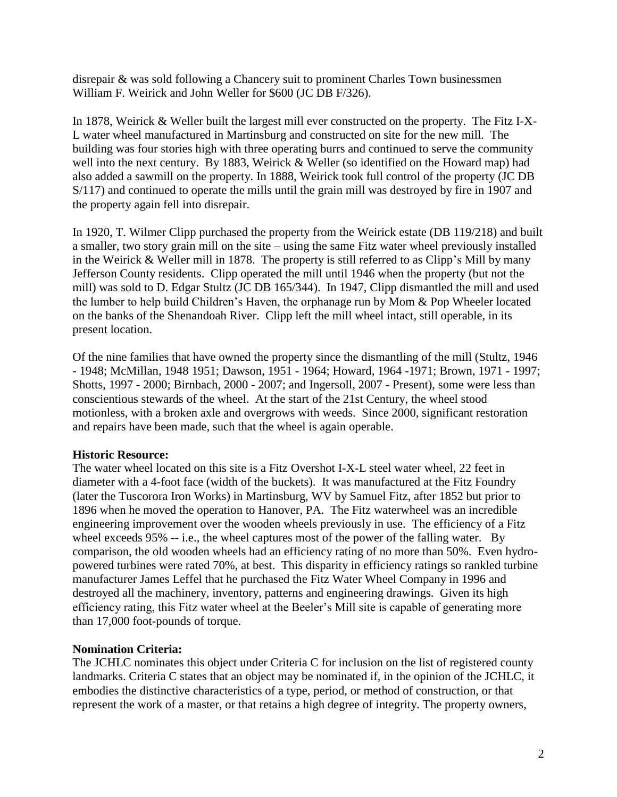disrepair & was sold following a Chancery suit to prominent Charles Town businessmen William F. Weirick and John Weller for \$600 (JC DB F/326).

In 1878, Weirick & Weller built the largest mill ever constructed on the property. The Fitz I-X-L water wheel manufactured in Martinsburg and constructed on site for the new mill. The building was four stories high with three operating burrs and continued to serve the community well into the next century. By 1883, Weirick & Weller (so identified on the Howard map) had also added a sawmill on the property. In 1888, Weirick took full control of the property (JC DB S/117) and continued to operate the mills until the grain mill was destroyed by fire in 1907 and the property again fell into disrepair.

In 1920, T. Wilmer Clipp purchased the property from the Weirick estate (DB 119/218) and built a smaller, two story grain mill on the site – using the same Fitz water wheel previously installed in the Weirick & Weller mill in 1878. The property is still referred to as Clipp's Mill by many Jefferson County residents. Clipp operated the mill until 1946 when the property (but not the mill) was sold to D. Edgar Stultz (JC DB 165/344). In 1947, Clipp dismantled the mill and used the lumber to help build Children's Haven, the orphanage run by Mom & Pop Wheeler located on the banks of the Shenandoah River. Clipp left the mill wheel intact, still operable, in its present location.

Of the nine families that have owned the property since the dismantling of the mill (Stultz, 1946 - 1948; McMillan, 1948 1951; Dawson, 1951 - 1964; Howard, 1964 -1971; Brown, 1971 - 1997; Shotts, 1997 - 2000; Birnbach, 2000 - 2007; and Ingersoll, 2007 - Present), some were less than conscientious stewards of the wheel. At the start of the 21st Century, the wheel stood motionless, with a broken axle and overgrows with weeds. Since 2000, significant restoration and repairs have been made, such that the wheel is again operable.

## **Historic Resource:**

The water wheel located on this site is a Fitz Overshot I-X-L steel water wheel, 22 feet in diameter with a 4-foot face (width of the buckets). It was manufactured at the Fitz Foundry (later the Tuscorora Iron Works) in Martinsburg, WV by Samuel Fitz, after 1852 but prior to 1896 when he moved the operation to Hanover, PA. The Fitz waterwheel was an incredible engineering improvement over the wooden wheels previously in use. The efficiency of a Fitz wheel exceeds 95% -- i.e., the wheel captures most of the power of the falling water. By comparison, the old wooden wheels had an efficiency rating of no more than 50%. Even hydropowered turbines were rated 70%, at best. This disparity in efficiency ratings so rankled turbine manufacturer James Leffel that he purchased the Fitz Water Wheel Company in 1996 and destroyed all the machinery, inventory, patterns and engineering drawings. Given its high efficiency rating, this Fitz water wheel at the Beeler's Mill site is capable of generating more than 17,000 foot-pounds of torque.

## **Nomination Criteria:**

The JCHLC nominates this object under Criteria C for inclusion on the list of registered county landmarks. Criteria C states that an object may be nominated if, in the opinion of the JCHLC, it embodies the distinctive characteristics of a type, period, or method of construction, or that represent the work of a master, or that retains a high degree of integrity. The property owners,